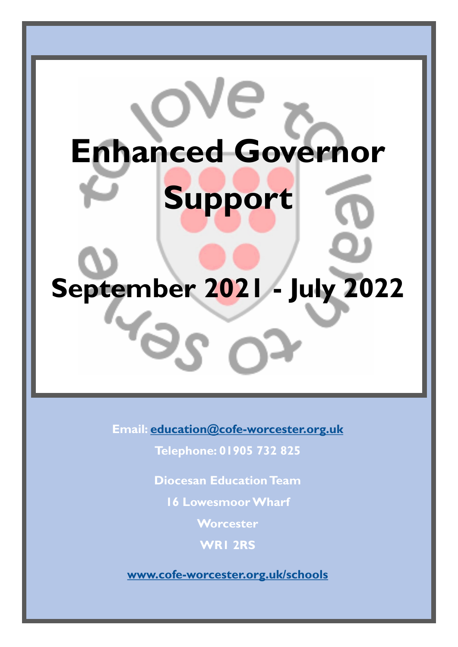# **Enhanced Governor Support**

e

# **September 2021 - July 2022**

'ဝ

**Email: [education@cofe-worcester.org.uk](mailto:education@cofe-worcester.org.uk)**

**Telephone: 01905 732 825**

**Diocesan Education Team**

**16 Lowesmoor Wharf**

**Worcester**

**WR1 2RS**

**[www.cofe-worcester.org.uk/schools](https://www.cofe-worcester.org.uk/schools/)**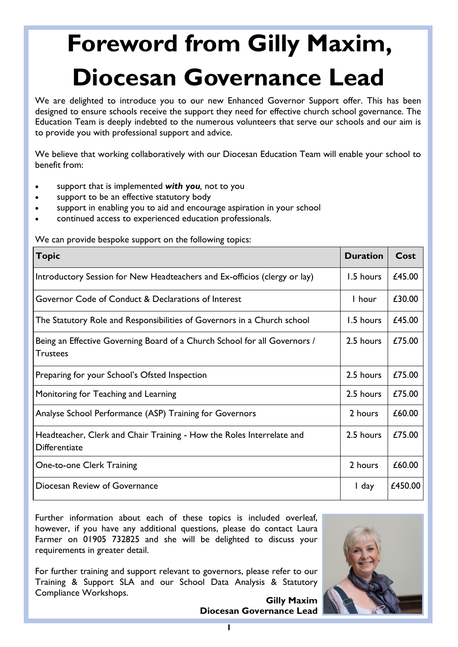## **Foreword from Gilly Maxim, Diocesan Governance Lead**

We are delighted to introduce you to our new Enhanced Governor Support offer. This has been designed to ensure schools receive the support they need for effective church school governance. The Education Team is deeply indebted to the numerous volunteers that serve our schools and our aim is to provide you with professional support and advice.

We believe that working collaboratively with our Diocesan Education Team will enable your school to benefit from:

- support that is implemented *with you,* not to you
- support to be an effective statutory body
- support in enabling you to aid and encourage aspiration in your school
- continued access to experienced education professionals.

We can provide bespoke support on the following topics:

| <b>Topic</b>                                                                                 | <b>Duration</b> | Cost    |
|----------------------------------------------------------------------------------------------|-----------------|---------|
| Introductory Session for New Headteachers and Ex-officios (clergy or lay)                    | 1.5 hours       | £45.00  |
| Governor Code of Conduct & Declarations of Interest                                          | I hour          | £30.00  |
| The Statutory Role and Responsibilities of Governors in a Church school                      | 1.5 hours       | £45.00  |
| Being an Effective Governing Board of a Church School for all Governors /<br><b>Trustees</b> | 2.5 hours       | £75.00  |
| Preparing for your School's Ofsted Inspection                                                | 2.5 hours       | £75.00  |
| Monitoring for Teaching and Learning                                                         | 2.5 hours       | £75.00  |
| Analyse School Performance (ASP) Training for Governors                                      | 2 hours         | £60.00  |
| Headteacher, Clerk and Chair Training - How the Roles Interrelate and<br>Differentiate       | 2.5 hours       | £75.00  |
| One-to-one Clerk Training                                                                    | 2 hours         | £60.00  |
| Diocesan Review of Governance                                                                | I day           | £450.00 |

Further information about each of these topics is included overleaf, however, if you have any additional questions, please do contact Laura Farmer on 01905 732825 and she will be delighted to discuss your requirements in greater detail.

For further training and support relevant to governors, please refer to our Training & Support SLA and our School Data Analysis & Statutory Compliance Workshops.

**Gilly Maxim Diocesan Governance Lead** 

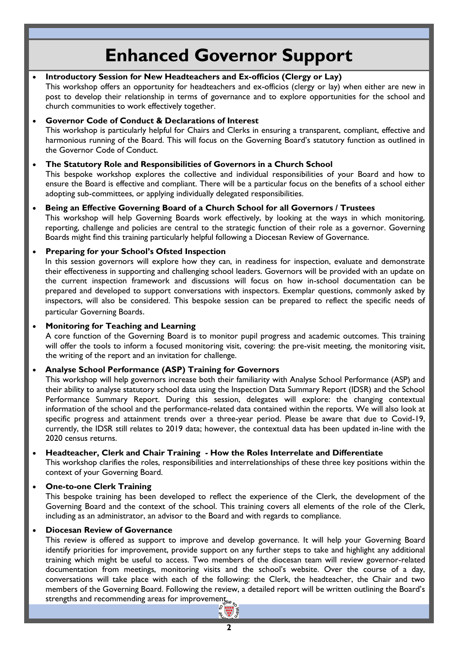### **Enhanced Governor Support**

#### **Introductory Session for New Headteachers and Ex-officios (Clergy or Lay)**

This workshop offers an opportunity for headteachers and ex-officios (clergy or lay) when either are new in post to develop their relationship in terms of governance and to explore opportunities for the school and church communities to work effectively together.

#### **Governor Code of Conduct & Declarations of Interest**

This workshop is particularly helpful for Chairs and Clerks in ensuring a transparent, compliant, effective and harmonious running of the Board. This will focus on the Governing Board's statutory function as outlined in the Governor Code of Conduct.

#### **The Statutory Role and Responsibilities of Governors in a Church School**

This bespoke workshop explores the collective and individual responsibilities of your Board and how to ensure the Board is effective and compliant. There will be a particular focus on the benefits of a school either adopting sub-committees, or applying individually delegated responsibilities.

#### **Being an Effective Governing Board of a Church School for all Governors / Trustees**

This workshop will help Governing Boards work effectively, by looking at the ways in which monitoring, reporting, challenge and policies are central to the strategic function of their role as a governor. Governing Boards might find this training particularly helpful following a Diocesan Review of Governance.

#### **Preparing for your School's Ofsted Inspection**

In this session governors will explore how they can, in readiness for inspection, evaluate and demonstrate their effectiveness in supporting and challenging school leaders. Governors will be provided with an update on the current inspection framework and discussions will focus on how in-school documentation can be prepared and developed to support conversations with inspectors. Exemplar questions, commonly asked by inspectors, will also be considered. This bespoke session can be prepared to reflect the specific needs of particular Governing Boards.

#### **Monitoring for Teaching and Learning**

A core function of the Governing Board is to monitor pupil progress and academic outcomes. This training will offer the tools to inform a focused monitoring visit, covering: the pre-visit meeting, the monitoring visit, the writing of the report and an invitation for challenge.

#### **Analyse School Performance (ASP) Training for Governors**

This workshop will help governors increase both their familiarity with Analyse School Performance (ASP) and their ability to analyse statutory school data using the Inspection Data Summary Report (IDSR) and the School Performance Summary Report. During this session, delegates will explore: the changing contextual information of the school and the performance-related data contained within the reports. We will also look at specific progress and attainment trends over a three-year period. Please be aware that due to Covid-19, currently, the IDSR still relates to 2019 data; however, the contextual data has been updated in-line with the 2020 census returns.

#### **Headteacher, Clerk and Chair Training - How the Roles Interrelate and Differentiate**

This workshop clarifies the roles, responsibilities and interrelationships of these three key positions within the context of your Governing Board.

#### **One-to-one Clerk Training**

This bespoke training has been developed to reflect the experience of the Clerk, the development of the Governing Board and the context of the school. This training covers all elements of the role of the Clerk, including as an administrator, an advisor to the Board and with regards to compliance.

#### **Diocesan Review of Governance**

This review is offered as support to improve and develop governance. It will help your Governing Board identify priorities for improvement, provide support on any further steps to take and highlight any additional training which might be useful to access. Two members of the diocesan team will review governor-related documentation from meetings, monitoring visits and the school's website. Over the course of a day, conversations will take place with each of the following: the Clerk, the headteacher, the Chair and two members of the Governing Board. Following the review, a detailed report will be written outlining the Board's strengths and recommending areas for improvements,  $e_{\kappa}$